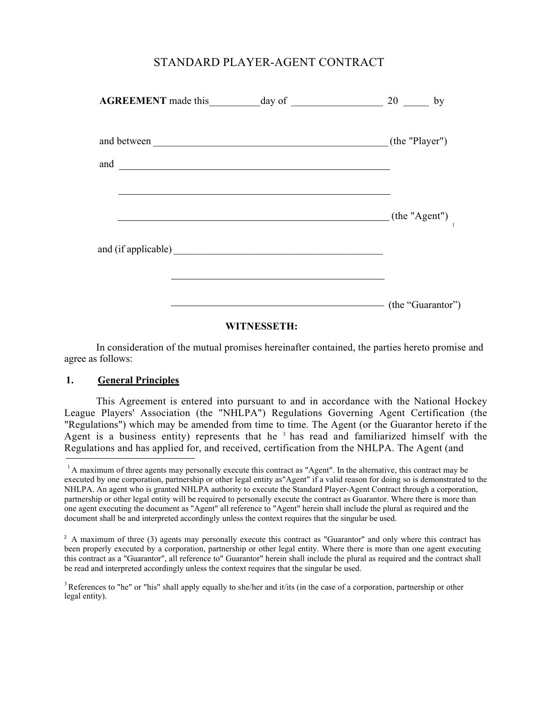# STANDARD PLAYER-AGENT CONTRACT

|  | $20$ by           |
|--|-------------------|
|  | (the "Player")    |
|  |                   |
|  | (the "Agent")     |
|  |                   |
|  | (the "Guarantor") |

# **WITNESSETH:**

In consideration of the mutual promises hereinafter contained, the parties hereto promise and agree as follows:

## **1. General Principles**

This Agreement is entered into pursuant to and in accordance with the National Hockey League Players' Association (the "NHLPA") Regulations Governing Agent Certification (the "Regulations") which may be amended from time to time. The Agent (or the Guarantor hereto if the Agent is a business entity) represents that he<sup>3</sup> has read and familiarized himself with the Regulations and has applied for, and received, certification from the NHLPA. The Agent (and

<sup>&</sup>lt;sup>1</sup> A maximum of three agents may personally execute this contract as "Agent". In the alternative, this contract may be executed by one corporation, partnership or other legal entity as"Agent" if a valid reason for doing so is demonstrated to the NHLPA. An agent who is granted NHLPA authority to execute the Standard Player-Agent Contract through a corporation, partnership or other legal entity will be required to personally execute the contract as Guarantor. Where there is more than one agent executing the document as "Agent" all reference to "Agent" herein shall include the plural as required and the document shall be and interpreted accordingly unless the context requires that the singular be used.

<sup>&</sup>lt;sup>2</sup> A maximum of three (3) agents may personally execute this contract as "Guarantor" and only where this contract has been properly executed by a corporation, partnership or other legal entity. Where there is more than one agent executing this contract as a "Guarantor", all reference to" Guarantor" herein shall include the plural as required and the contract shall be read and interpreted accordingly unless the context requires that the singular be used.

<sup>&</sup>lt;sup>3</sup> References to "he" or "his" shall apply equally to she/her and it/its (in the case of a corporation, partnership or other legal entity).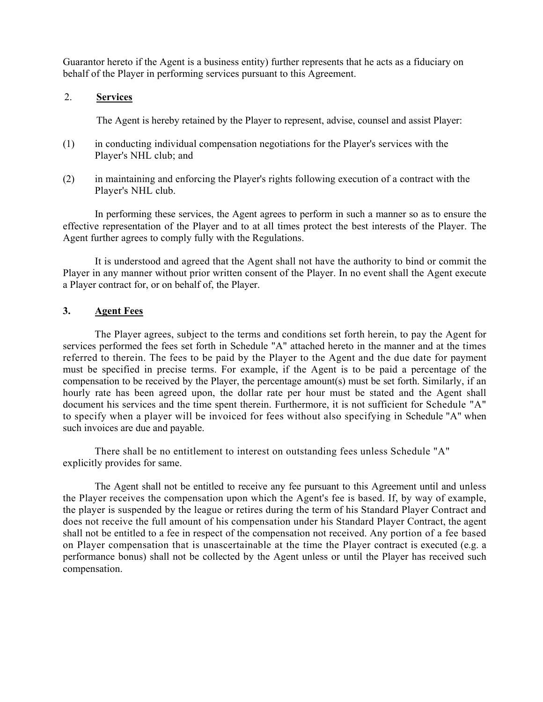Guarantor hereto if the Agent is a business entity) further represents that he acts as a fiduciary on behalf of the Player in performing services pursuant to this Agreement.

#### 2. **Services**

The Agent is hereby retained by the Player to represent, advise, counsel and assist Player:

- (1) in conducting individual compensation negotiations for the Player's services with the Player's NHL club; and
- (2) in maintaining and enforcing the Player's rights following execution of a contract with the Player's NHL club.

In performing these services, the Agent agrees to perform in such a manner so as to ensure the effective representation of the Player and to at all times protect the best interests of the Player. The Agent further agrees to comply fully with the Regulations.

It is understood and agreed that the Agent shall not have the authority to bind or commit the Player in any manner without prior written consent of the Player. In no event shall the Agent execute a Player contract for, or on behalf of, the Player.

#### **3. Agent Fees**

The Player agrees, subject to the terms and conditions set forth herein, to pay the Agent for services performed the fees set forth in Schedule "A" attached hereto in the manner and at the times referred to therein. The fees to be paid by the Player to the Agent and the due date for payment must be specified in precise terms. For example, if the Agent is to be paid a percentage of the compensation to be received by the Player, the percentage amount(s) must be set forth. Similarly, if an hourly rate has been agreed upon, the dollar rate per hour must be stated and the Agent shall document his services and the time spent therein. Furthermore, it is not sufficient for Schedule "A" to specify when a player will be invoiced for fees without also specifying in Schedule "A" when such invoices are due and payable.

There shall be no entitlement to interest on outstanding fees unless Schedule "A" explicitly provides for same.

The Agent shall not be entitled to receive any fee pursuant to this Agreement until and unless the Player receives the compensation upon which the Agent's fee is based. If, by way of example, the player is suspended by the league or retires during the term of his Standard Player Contract and does not receive the full amount of his compensation under his Standard Player Contract, the agent shall not be entitled to a fee in respect of the compensation not received. Any portion of a fee based on Player compensation that is unascertainable at the time the Player contract is executed (e.g. a performance bonus) shall not be collected by the Agent unless or until the Player has received such compensation.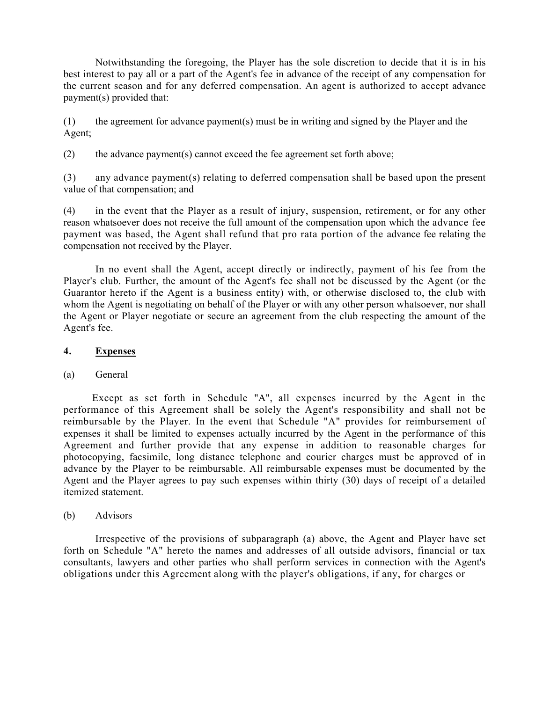Notwithstanding the foregoing, the Player has the sole discretion to decide that it is in his best interest to pay all or a part of the Agent's fee in advance of the receipt of any compensation for the current season and for any deferred compensation. An agent is authorized to accept advance payment(s) provided that:

(1) the agreement for advance payment(s) must be in writing and signed by the Player and the Agent;

(2) the advance payment(s) cannot exceed the fee agreement set forth above;

(3) any advance payment(s) relating to deferred compensation shall be based upon the present value of that compensation; and

(4) in the event that the Player as a result of injury, suspension, retirement, or for any other reason whatsoever does not receive the full amount of the compensation upon which the advance fee payment was based, the Agent shall refund that pro rata portion of the advance fee relating the compensation not received by the Player.

In no event shall the Agent, accept directly or indirectly, payment of his fee from the Player's club. Further, the amount of the Agent's fee shall not be discussed by the Agent (or the Guarantor hereto if the Agent is a business entity) with, or otherwise disclosed to, the club with whom the Agent is negotiating on behalf of the Player or with any other person whatsoever, nor shall the Agent or Player negotiate or secure an agreement from the club respecting the amount of the Agent's fee.

#### **4. Expenses**

## (a) General

Except as set forth in Schedule "A", all expenses incurred by the Agent in the performance of this Agreement shall be solely the Agent's responsibility and shall not be reimbursable by the Player. In the event that Schedule "A" provides for reimbursement of expenses it shall be limited to expenses actually incurred by the Agent in the performance of this Agreement and further provide that any expense in addition to reasonable charges for photocopying, facsimile, long distance telephone and courier charges must be approved of in advance by the Player to be reimbursable. All reimbursable expenses must be documented by the Agent and the Player agrees to pay such expenses within thirty (30) days of receipt of a detailed itemized statement.

(b) Advisors

Irrespective of the provisions of subparagraph (a) above, the Agent and Player have set forth on Schedule "A" hereto the names and addresses of all outside advisors, financial or tax consultants, lawyers and other parties who shall perform services in connection with the Agent's obligations under this Agreement along with the player's obligations, if any, for charges or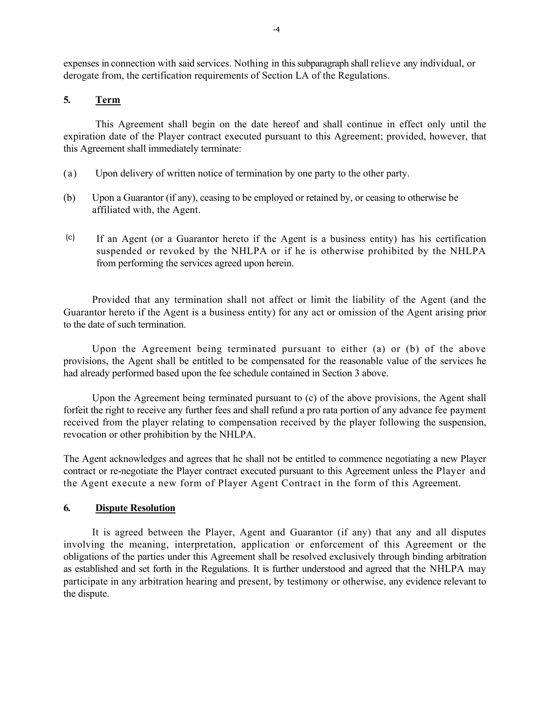expenses in connection with said services. Nothing in this subparagraph shall relieve any individual, or derogate from, the certification requirements of Section LA of the Regulations.

# **5. Term**

This Agreement shall begin on the date hereof and shall continue in effect only until the expiration date of the Player contract executed pursuant to this Agreement; provided, however, that this Agreement shall immediately terminate:

- (a) Upon delivery of written notice of termination by one party to the other party.
- (b) Upon a Guarantor (if any), ceasing to be employed or retained by, or ceasing to otherwise be affiliated with, the Agent.
- (c) If an Agent (or a Guarantor hereto if the Agent is a business entity) has his certification suspended or revoked by the NHLPA or if he is otherwise prohibited by the NHLPA from performing the services agreed upon herein.

Provided that any termination shall not affect or limit the liability of the Agent (and the Guarantor hereto if the Agent is a business entity) for any act or omission of the Agent arising prior to the date of such termination.

Upon the Agreement being terminated pursuant to either (a) or (b) of the above provisions, the Agent shall be entitled to be compensated for the reasonable value of the services he had already performed based upon the fee schedule contained in Section 3 above.

Upon the Agreement being terminated pursuant to (c) of the above provisions, the Agent shall forfeit the right to receive any further fees and shall refund a pro rata portion of any advance fee payment received from the player relating to compensation received by the player following the suspension, revocation or other prohibition by the NHLPA.

The Agent acknowledges and agrees that he shall not be entitled to commence negotiating a new Player contract or re-negotiate the Player contract executed pursuant to this Agreement unless the Player and the Agent execute a new form of Player Agent Contract in the form of this Agreement.

## **6. Dispute Resolution**

It is agreed between the Player, Agent and Guarantor (if any) that any and all disputes involving the meaning, interpretation, application or enforcement of this Agreement or the obligations of the parties under this Agreement shall be resolved exclusively through binding arbitration as established and set forth in the Regulations. It is further understood and agreed that the NHLPA may participate in any arbitration hearing and present, by testimony or otherwise, any evidence relevant to the dispute.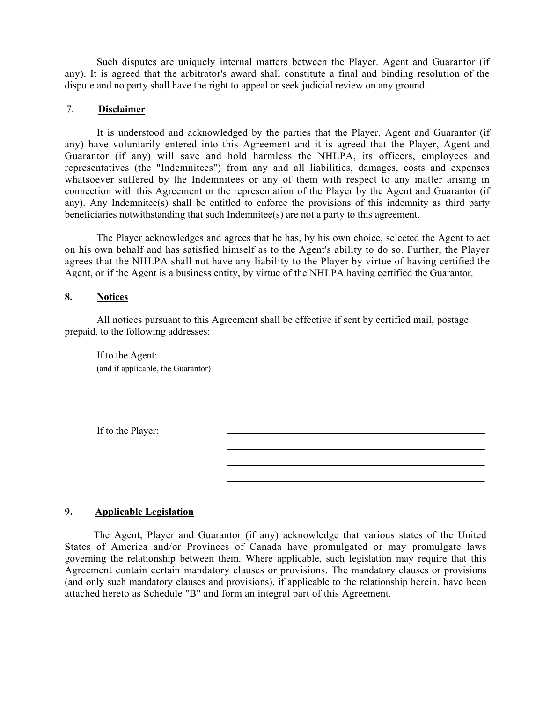Such disputes are uniquely internal matters between the Player. Agent and Guarantor (if any). It is agreed that the arbitrator's award shall constitute a final and binding resolution of the dispute and no party shall have the right to appeal or seek judicial review on any ground.

## 7. **Disclaimer**

It is understood and acknowledged by the parties that the Player, Agent and Guarantor (if any) have voluntarily entered into this Agreement and it is agreed that the Player, Agent and Guarantor (if any) will save and hold harmless the NHLPA, its officers, employees and representatives (the "Indemnitees") from any and all liabilities, damages, costs and expenses whatsoever suffered by the Indemnitees or any of them with respect to any matter arising in connection with this Agreement or the representation of the Player by the Agent and Guarantor (if any). Any Indemnitee(s) shall be entitled to enforce the provisions of this indemnity as third party beneficiaries notwithstanding that such Indemnitee(s) are not a party to this agreement.

The Player acknowledges and agrees that he has, by his own choice, selected the Agent to act on his own behalf and has satisfied himself as to the Agent's ability to do so. Further, the Player agrees that the NHLPA shall not have any liability to the Player by virtue of having certified the Agent, or if the Agent is a business entity, by virtue of the NHLPA having certified the Guarantor.

#### **8. Notices**

All notices pursuant to this Agreement shall be effective if sent by certified mail, postage prepaid, to the following addresses:

| If to the Agent:<br>(and if applicable, the Guarantor) |  |
|--------------------------------------------------------|--|
|                                                        |  |
|                                                        |  |
|                                                        |  |
| If to the Player:                                      |  |
|                                                        |  |
|                                                        |  |
|                                                        |  |

# **9. Applicable Legislation**

The Agent, Player and Guarantor (if any) acknowledge that various states of the United States of America and/or Provinces of Canada have promulgated or may promulgate laws governing the relationship between them. Where applicable, such legislation may require that this Agreement contain certain mandatory clauses or provisions. The mandatory clauses or provisions (and only such mandatory clauses and provisions), if applicable to the relationship herein, have been attached hereto as Schedule "B" and form an integral part of this Agreement.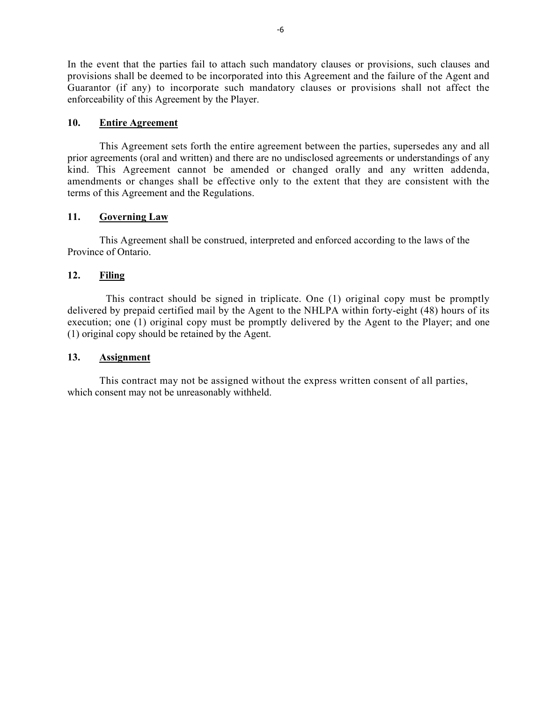In the event that the parties fail to attach such mandatory clauses or provisions, such clauses and provisions shall be deemed to be incorporated into this Agreement and the failure of the Agent and Guarantor (if any) to incorporate such mandatory clauses or provisions shall not affect the enforceability of this Agreement by the Player.

#### **10. Entire Agreement**

This Agreement sets forth the entire agreement between the parties, supersedes any and all prior agreements (oral and written) and there are no undisclosed agreements or understandings of any kind. This Agreement cannot be amended or changed orally and any written addenda, amendments or changes shall be effective only to the extent that they are consistent with the terms of this Agreement and the Regulations.

#### **11. Governing Law**

This Agreement shall be construed, interpreted and enforced according to the laws of the Province of Ontario.

#### **12. Filing**

This contract should be signed in triplicate. One (1) original copy must be promptly delivered by prepaid certified mail by the Agent to the NHLPA within forty-eight (48) hours of its execution; one (1) original copy must be promptly delivered by the Agent to the Player; and one (1) original copy should be retained by the Agent.

#### **13. Assignment**

This contract may not be assigned without the express written consent of all parties, which consent may not be unreasonably withheld.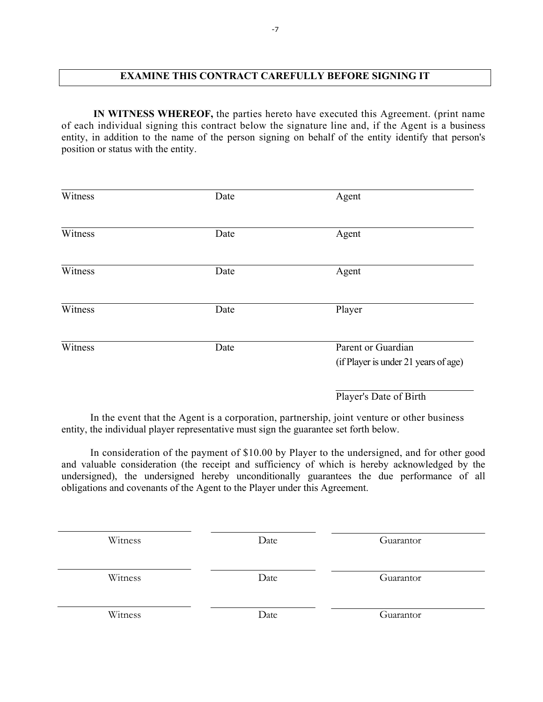# **EXAMINE THIS CONTRACT CAREFULLY BEFORE SIGNING IT**

**IN WITNESS WHEREOF,** the parties hereto have executed this Agreement. (print name of each individual signing this contract below the signature line and, if the Agent is a business entity, in addition to the name of the person signing on behalf of the entity identify that person's position or status with the entity.

| Witness | Date | Agent                                                      |
|---------|------|------------------------------------------------------------|
| Witness | Date | Agent                                                      |
| Witness | Date | Agent                                                      |
| Witness | Date | Player                                                     |
| Witness | Date | Parent or Guardian<br>(if Player is under 21 years of age) |
|         |      | Player's Date of Birth                                     |

In the event that the Agent is a corporation, partnership, joint venture or other business entity, the individual player representative must sign the guarantee set forth below.

In consideration of the payment of \$10.00 by Player to the undersigned, and for other good and valuable consideration (the receipt and sufficiency of which is hereby acknowledged by the undersigned), the undersigned hereby unconditionally guarantees the due performance of all obligations and covenants of the Agent to the Player under this Agreement.

| Witness | Date | Guarantor |
|---------|------|-----------|
| Witness | Date | Guarantor |
| Witness | Date | Guarantor |